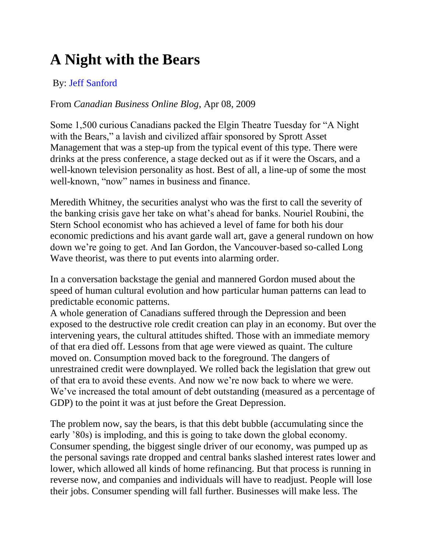## **[A Night with the Bears](http://blog.canadianbusiness.com/a-night-with-the-bears/)**

## By: [Jeff Sanford](http://blog.canadianbusiness.com/category/jeff-sanford/)

## From *Canadian Business Online Blog*, Apr 08, 2009

Some 1,500 curious Canadians packed the Elgin Theatre Tuesday for "A Night with the Bears," a lavish and civilized affair sponsored by Sprott Asset Management that was a step-up from the typical event of this type. There were drinks at the press conference, a stage decked out as if it were the Oscars, and a well-known television personality as host. Best of all, a line-up of some the most well-known, "now" names in business and finance.

Meredith Whitney, the securities analyst who was the first to call the severity of the banking crisis gave her take on what's ahead for banks. Nouriel Roubini, the Stern School economist who has achieved a level of fame for both his dour economic predictions and his avant garde wall art, gave a general rundown on how down we're going to get. And Ian Gordon, the Vancouver-based so-called Long Wave theorist, was there to put events into alarming order.

In a conversation backstage the genial and mannered Gordon mused about the speed of human cultural evolution and how particular human patterns can lead to predictable economic patterns.

A whole generation of Canadians suffered through the Depression and been exposed to the destructive role credit creation can play in an economy. But over the intervening years, the cultural attitudes shifted. Those with an immediate memory of that era died off. Lessons from that age were viewed as quaint. The culture moved on. Consumption moved back to the foreground. The dangers of unrestrained credit were downplayed. We rolled back the legislation that grew out of that era to avoid these events. And now we're now back to where we were. We've increased the total amount of debt outstanding (measured as a percentage of GDP) to the point it was at just before the Great Depression.

The problem now, say the bears, is that this debt bubble (accumulating since the early '80s) is imploding, and this is going to take down the global economy. Consumer spending, the biggest single driver of our economy, was pumped up as the personal savings rate dropped and central banks slashed interest rates lower and lower, which allowed all kinds of home refinancing. But that process is running in reverse now, and companies and individuals will have to readjust. People will lose their jobs. Consumer spending will fall further. Businesses will make less. The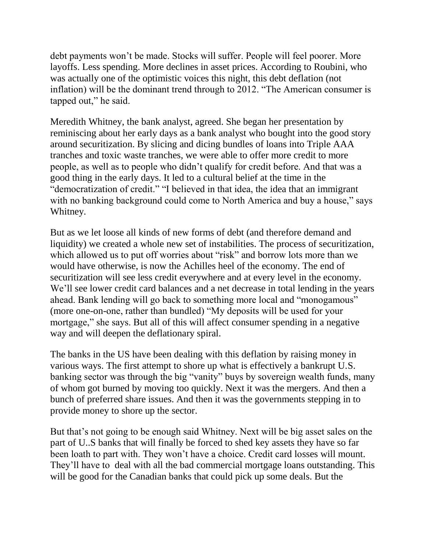debt payments won't be made. Stocks will suffer. People will feel poorer. More layoffs. Less spending. More declines in asset prices. According to Roubini, who was actually one of the optimistic voices this night, this debt deflation (not inflation) will be the dominant trend through to 2012. "The American consumer is tapped out," he said.

Meredith Whitney, the bank analyst, agreed. She began her presentation by reminiscing about her early days as a bank analyst who bought into the good story around securitization. By slicing and dicing bundles of loans into Triple AAA tranches and toxic waste tranches, we were able to offer more credit to more people, as well as to people who didn't qualify for credit before. And that was a good thing in the early days. It led to a cultural belief at the time in the "democratization of credit." "I believed in that idea, the idea that an immigrant with no banking background could come to North America and buy a house," says Whitney.

But as we let loose all kinds of new forms of debt (and therefore demand and liquidity) we created a whole new set of instabilities. The process of securitization, which allowed us to put off worries about "risk" and borrow lots more than we would have otherwise, is now the Achilles heel of the economy. The end of securitization will see less credit everywhere and at every level in the economy. We'll see lower credit card balances and a net decrease in total lending in the years ahead. Bank lending will go back to something more local and "monogamous" (more one-on-one, rather than bundled) "My deposits will be used for your mortgage," she says. But all of this will affect consumer spending in a negative way and will deepen the deflationary spiral.

The banks in the US have been dealing with this deflation by raising money in various ways. The first attempt to shore up what is effectively a bankrupt U.S. banking sector was through the big "vanity" buys by sovereign wealth funds, many of whom got burned by moving too quickly. Next it was the mergers. And then a bunch of preferred share issues. And then it was the governments stepping in to provide money to shore up the sector.

But that's not going to be enough said Whitney. Next will be big asset sales on the part of U..S banks that will finally be forced to shed key assets they have so far been loath to part with. They won't have a choice. Credit card losses will mount. They'll have to deal with all the bad commercial mortgage loans outstanding. This will be good for the Canadian banks that could pick up some deals. But the